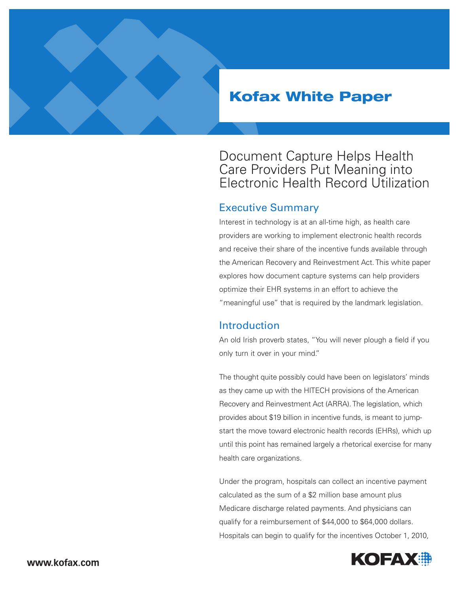# Kofax White Paper

## Document Capture Helps Health Care Providers Put Meaning into Electronic Health Record Utilization

## Executive Summary

Interest in technology is at an all-time high, as health care providers are working to implement electronic health records and receive their share of the incentive funds available through the American Recovery and Reinvestment Act. This white paper explores how document capture systems can help providers optimize their EHR systems in an effort to achieve the "meaningful use" that is required by the landmark legislation.

#### Introduction

An old Irish proverb states, "You will never plough a field if you only turn it over in your mind."

The thought quite possibly could have been on legislators' minds as they came up with the HITECH provisions of the American Recovery and Reinvestment Act (ARRA). The legislation, which provides about \$19 billion in incentive funds, is meant to jumpstart the move toward electronic health records (EHRs), which up until this point has remained largely a rhetorical exercise for many health care organizations.

Under the program, hospitals can collect an incentive payment calculated as the sum of a \$2 million base amount plus Medicare discharge related payments. And physicians can qualify for a reimbursement of \$44,000 to \$64,000 dollars. Hospitals can begin to qualify for the incentives October 1, 2010,

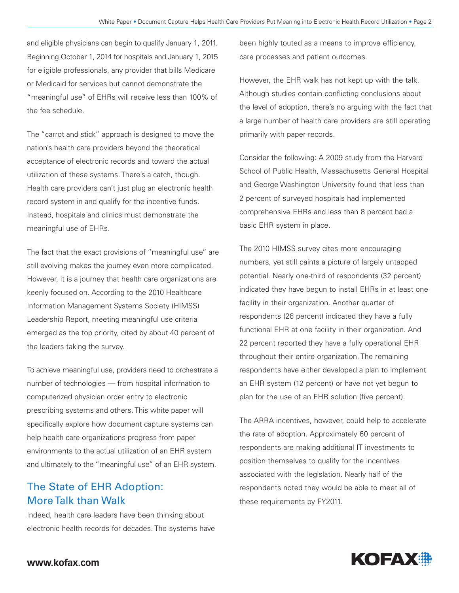and eligible physicians can begin to qualify January 1, 2011. Beginning October 1, 2014 for hospitals and January 1, 2015 for eligible professionals, any provider that bills Medicare or Medicaid for services but cannot demonstrate the "meaningful use" of EHRs will receive less than 100% of the fee schedule.

The "carrot and stick" approach is designed to move the nation's health care providers beyond the theoretical acceptance of electronic records and toward the actual utilization of these systems. There's a catch, though. Health care providers can't just plug an electronic health record system in and qualify for the incentive funds. Instead, hospitals and clinics must demonstrate the meaningful use of EHRs.

The fact that the exact provisions of "meaningful use" are still evolving makes the journey even more complicated. However, it is a journey that health care organizations are keenly focused on. According to the 2010 Healthcare Information Management Systems Society (HIMSS) Leadership Report, meeting meaningful use criteria emerged as the top priority, cited by about 40 percent of the leaders taking the survey.

To achieve meaningful use, providers need to orchestrate a number of technologies — from hospital information to computerized physician order entry to electronic prescribing systems and others. This white paper will specifically explore how document capture systems can help health care organizations progress from paper environments to the actual utilization of an EHR system and ultimately to the "meaningful use" of an EHR system.

## The State of EHR Adoption: More Talk than Walk

Indeed, health care leaders have been thinking about electronic health records for decades. The systems have been highly touted as a means to improve efficiency, care processes and patient outcomes.

However, the EHR walk has not kept up with the talk. Although studies contain conflicting conclusions about the level of adoption, there's no arguing with the fact that a large number of health care providers are still operating primarily with paper records.

Consider the following: A 2009 study from the Harvard School of Public Health, Massachusetts General Hospital and George Washington University found that less than 2 percent of surveyed hospitals had implemented comprehensive EHRs and less than 8 percent had a basic EHR system in place.

The 2010 HIMSS survey cites more encouraging numbers, yet still paints a picture of largely untapped potential. Nearly one-third of respondents (32 percent) indicated they have begun to install EHRs in at least one facility in their organization. Another quarter of respondents (26 percent) indicated they have a fully functional EHR at one facility in their organization. And 22 percent reported they have a fully operational EHR throughout their entire organization. The remaining respondents have either developed a plan to implement an EHR system (12 percent) or have not yet begun to plan for the use of an EHR solution (five percent).

The ARRA incentives, however, could help to accelerate the rate of adoption. Approximately 60 percent of respondents are making additional IT investments to position themselves to qualify for the incentives associated with the legislation. Nearly half of the respondents noted they would be able to meet all of these requirements by FY2011.

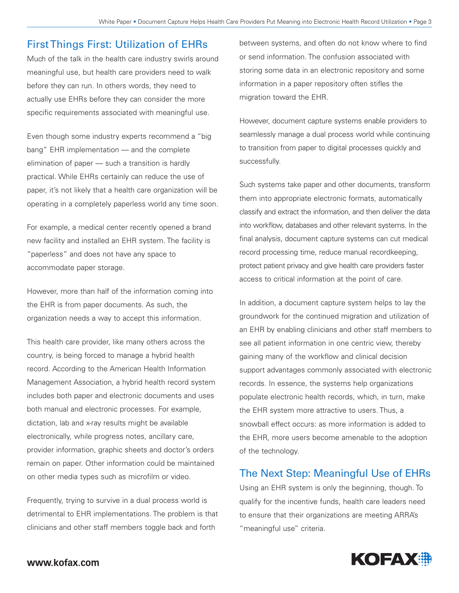## First Things First: Utilization of EHRs

Much of the talk in the health care industry swirls around meaningful use, but health care providers need to walk before they can run. In others words, they need to actually use EHRs before they can consider the more specific requirements associated with meaningful use.

Even though some industry experts recommend a "big bang" EHR implementation — and the complete elimination of paper — such a transition is hardly practical. While EHRs certainly can reduce the use of paper, it's not likely that a health care organization will be operating in a completely paperless world any time soon.

For example, a medical center recently opened a brand new facility and installed an EHR system. The facility is "paperless" and does not have any space to accommodate paper storage.

However, more than half of the information coming into the EHR is from paper documents. As such, the organization needs a way to accept this information.

This health care provider, like many others across the country, is being forced to manage a hybrid health record. According to the American Health Information Management Association, a hybrid health record system includes both paper and electronic documents and uses both manual and electronic processes. For example, dictation, lab and x-ray results might be available electronically, while progress notes, ancillary care, provider information, graphic sheets and doctor's orders remain on paper. Other information could be maintained on other media types such as microfilm or video.

Frequently, trying to survive in a dual process world is detrimental to EHR implementations. The problem is that clinicians and other staff members toggle back and forth

between systems, and often do not know where to find or send information. The confusion associated with storing some data in an electronic repository and some information in a paper repository often stifles the migration toward the EHR.

However, document capture systems enable providers to seamlessly manage a dual process world while continuing to transition from paper to digital processes quickly and successfully.

Such systems take paper and other documents, transform them into appropriate electronic formats, automatically classify and extract the information, and then deliver the data into workflow, databases and other relevant systems. In the final analysis, document capture systems can cut medical record processing time, reduce manual recordkeeping, protect patient privacy and give health care providers faster access to critical information at the point of care.

In addition, a document capture system helps to lay the groundwork for the continued migration and utilization of an EHR by enabling clinicians and other staff members to see all patient information in one centric view, thereby gaining many of the workflow and clinical decision support advantages commonly associated with electronic records. In essence, the systems help organizations populate electronic health records, which, in turn, make the EHR system more attractive to users. Thus, a snowball effect occurs: as more information is added to the EHR, more users become amenable to the adoption of the technology.

## The Next Step: Meaningful Use of EHRs

Using an EHR system is only the beginning, though. To qualify for the incentive funds, health care leaders need to ensure that their organizations are meeting ARRA's "meaningful use" criteria.

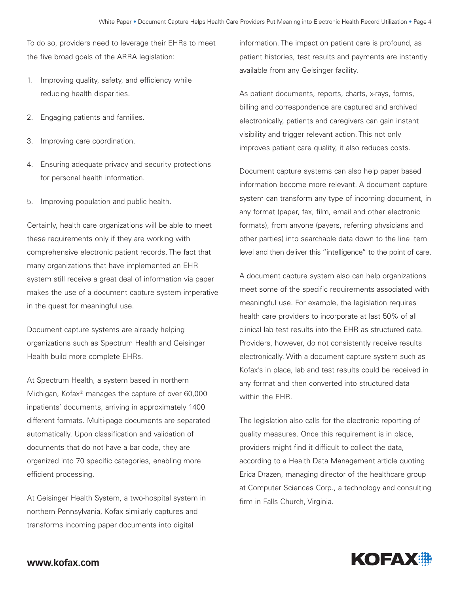To do so, providers need to leverage their EHRs to meet the five broad goals of the ARRA legislation:

- 1. Improving quality, safety, and efficiency while reducing health disparities.
- 2. Engaging patients and families.
- 3. Improving care coordination.
- 4. Ensuring adequate privacy and security protections for personal health information.
- 5. Improving population and public health.

Certainly, health care organizations will be able to meet these requirements only if they are working with comprehensive electronic patient records. The fact that many organizations that have implemented an EHR system still receive a great deal of information via paper makes the use of a document capture system imperative in the quest for meaningful use.

Document capture systems are already helping organizations such as Spectrum Health and Geisinger Health build more complete EHRs.

At Spectrum Health, a system based in northern Michigan, Kofax® manages the capture of over 60,000 inpatients' documents, arriving in approximately 1400 different formats. Multi-page documents are separated automatically. Upon classification and validation of documents that do not have a bar code, they are organized into 70 specific categories, enabling more efficient processing.

At Geisinger Health System, a two-hospital system in northern Pennsylvania, Kofax similarly captures and transforms incoming paper documents into digital

information. The impact on patient care is profound, as patient histories, test results and payments are instantly available from any Geisinger facility.

As patient documents, reports, charts, x-rays, forms, billing and correspondence are captured and archived electronically, patients and caregivers can gain instant visibility and trigger relevant action. This not only improves patient care quality, it also reduces costs.

Document capture systems can also help paper based information become more relevant. A document capture system can transform any type of incoming document, in any format (paper, fax, film, email and other electronic formats), from anyone (payers, referring physicians and other parties) into searchable data down to the line item level and then deliver this "intelligence" to the point of care.

A document capture system also can help organizations meet some of the specific requirements associated with meaningful use. For example, the legislation requires health care providers to incorporate at last 50% of all clinical lab test results into the EHR as structured data. Providers, however, do not consistently receive results electronically. With a document capture system such as Kofax's in place, lab and test results could be received in any format and then converted into structured data within the EHR.

The legislation also calls for the electronic reporting of quality measures. Once this requirement is in place, providers might find it difficult to collect the data, according to a Health Data Management article quoting Erica Drazen, managing director of the healthcare group at Computer Sciences Corp., a technology and consulting firm in Falls Church, Virginia.

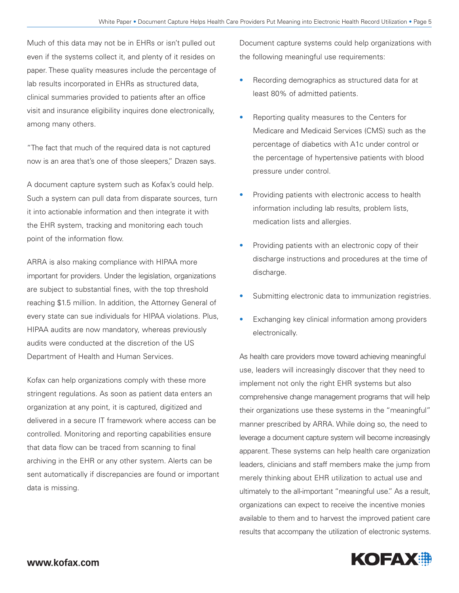Much of this data may not be in EHRs or isn't pulled out even if the systems collect it, and plenty of it resides on paper. These quality measures include the percentage of lab results incorporated in EHRs as structured data, clinical summaries provided to patients after an office visit and insurance eligibility inquires done electronically, among many others.

"The fact that much of the required data is not captured now is an area that's one of those sleepers," Drazen says.

A document capture system such as Kofax's could help. Such a system can pull data from disparate sources, turn it into actionable information and then integrate it with the EHR system, tracking and monitoring each touch point of the information flow.

ARRA is also making compliance with HIPAA more important for providers. Under the legislation, organizations are subject to substantial fines, with the top threshold reaching \$1.5 million. In addition, the Attorney General of every state can sue individuals for HIPAA violations. Plus, HIPAA audits are now mandatory, whereas previously audits were conducted at the discretion of the US Department of Health and Human Services.

Kofax can help organizations comply with these more stringent regulations. As soon as patient data enters an organization at any point, it is captured, digitized and delivered in a secure IT framework where access can be controlled. Monitoring and reporting capabilities ensure that data flow can be traced from scanning to final archiving in the EHR or any other system. Alerts can be sent automatically if discrepancies are found or important data is missing.

Document capture systems could help organizations with the following meaningful use requirements:

- Recording demographics as structured data for at least 80% of admitted patients.
- Reporting quality measures to the Centers for Medicare and Medicaid Services (CMS) such as the percentage of diabetics with A1c under control or the percentage of hypertensive patients with blood pressure under control.
- Providing patients with electronic access to health information including lab results, problem lists, medication lists and allergies.
- Providing patients with an electronic copy of their discharge instructions and procedures at the time of discharge.
- Submitting electronic data to immunization registries.
- Exchanging key clinical information among providers electronically.

As health care providers move toward achieving meaningful use, leaders will increasingly discover that they need to implement not only the right EHR systems but also comprehensive change management programs that will help their organizations use these systems in the "meaningful" manner prescribed by ARRA. While doing so, the need to leverage a document capture system will become increasingly apparent. These systems can help health care organization leaders, clinicians and staff members make the jump from merely thinking about EHR utilization to actual use and ultimately to the all-important "meaningful use." As a result, organizations can expect to receive the incentive monies available to them and to harvest the improved patient care results that accompany the utilization of electronic systems.